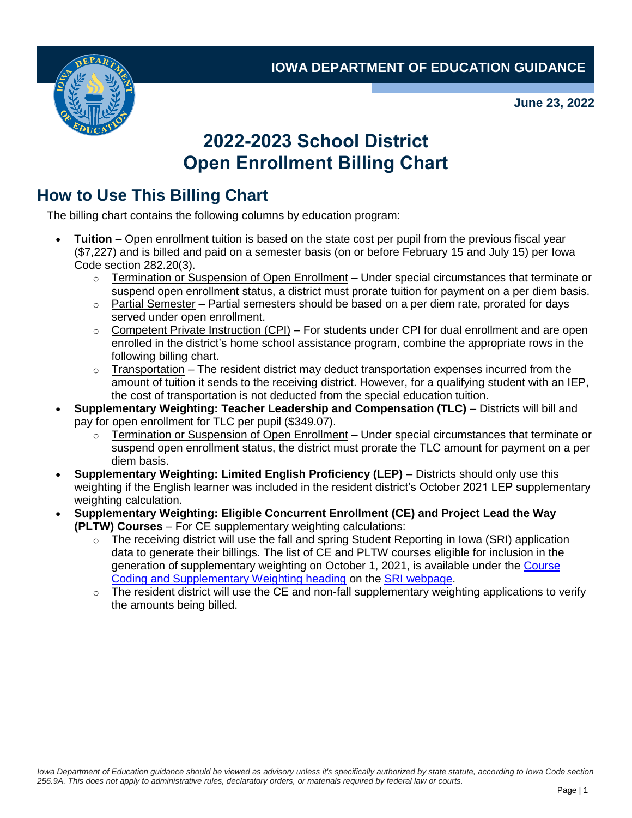**IOWA DEPARTMENT OF EDUCATION GUIDANCE**



**June 23, 2022**

## **2022-2023 School District Open Enrollment Billing Chart**

## **How to Use This Billing Chart**

The billing chart contains the following columns by education program:

- **Tuition** Open enrollment tuition is based on the state cost per pupil from the previous fiscal year (\$7,227) and is billed and paid on a semester basis (on or before February 15 and July 15) per Iowa Code section 282.20(3).
	- o Termination or Suspension of Open Enrollment Under special circumstances that terminate or suspend open enrollment status, a district must prorate tuition for payment on a per diem basis.
	- $\circ$  Partial Semester Partial semesters should be based on a per diem rate, prorated for days served under open enrollment.
	- $\circ$  Competent Private Instruction (CPI) For students under CPI for dual enrollment and are open enrolled in the district's home school assistance program, combine the appropriate rows in the following billing chart.
	- $\circ$  Transportation The resident district may deduct transportation expenses incurred from the amount of tuition it sends to the receiving district. However, for a qualifying student with an IEP, the cost of transportation is not deducted from the special education tuition.
- **Supplementary Weighting: Teacher Leadership and Compensation (TLC)**  Districts will bill and pay for open enrollment for TLC per pupil (\$349.07).
	- $\circ$  Termination or Suspension of Open Enrollment Under special circumstances that terminate or suspend open enrollment status, the district must prorate the TLC amount for payment on a per diem basis.
- **Supplementary Weighting: Limited English Proficiency (LEP)**  Districts should only use this weighting if the English learner was included in the resident district's October 2021 LEP supplementary weighting calculation.
- **Supplementary Weighting: Eligible Concurrent Enrollment (CE) and Project Lead the Way (PLTW) Courses** – For CE supplementary weighting calculations:
	- $\circ$  The receiving district will use the fall and spring Student Reporting in Iowa (SRI) application data to generate their billings. The list of CE and PLTW courses eligible for inclusion in the generation of supplementary weighting on October 1, 2021, is available under the [Course](https://educateiowa.gov/data-reporting/data-reporting/student-reporting-iowa#Course_Coding_and_Supplementary_Weighting)  [Coding and Supplementary Weighting heading](https://educateiowa.gov/data-reporting/data-reporting/student-reporting-iowa#Course_Coding_and_Supplementary_Weighting) on the [SRI webpage.](https://educateiowa.gov/data-reporting/data-reporting/student-reporting-iowa)
	- $\circ$  The resident district will use the CE and non-fall supplementary weighting applications to verify the amounts being billed.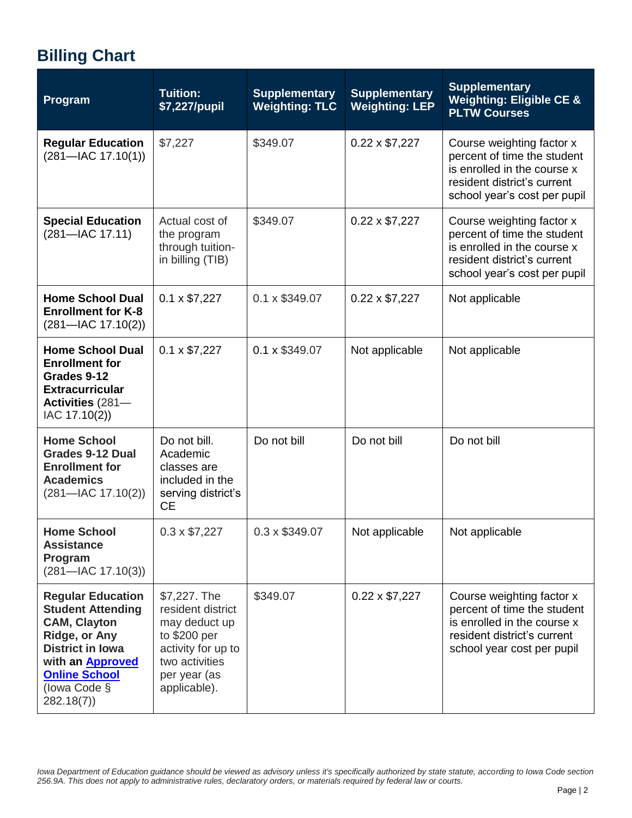## **Billing Chart**

| Program                                                                                                                                                                                                 | <b>Tuition:</b><br>\$7,227/pupil                                                                                                           | <b>Supplementary</b><br><b>Weighting: TLC</b> | <b>Supplementary</b><br><b>Weighting: LEP</b> | <b>Supplementary</b><br><b>Weighting: Eligible CE &amp;</b><br><b>PLTW Courses</b>                                                                     |
|---------------------------------------------------------------------------------------------------------------------------------------------------------------------------------------------------------|--------------------------------------------------------------------------------------------------------------------------------------------|-----------------------------------------------|-----------------------------------------------|--------------------------------------------------------------------------------------------------------------------------------------------------------|
| <b>Regular Education</b><br>$(281 - \text{IAC } 17.10(1))$                                                                                                                                              | \$7,227                                                                                                                                    | \$349.07                                      | $0.22 \times $7,227$                          | Course weighting factor x<br>percent of time the student<br>is enrolled in the course x<br>resident district's current<br>school year's cost per pupil |
| <b>Special Education</b><br>$(281 - \text{IAC } 17.11)$                                                                                                                                                 | Actual cost of<br>the program<br>through tuition-<br>in billing (TIB)                                                                      | \$349.07                                      | $0.22 \times $7,227$                          | Course weighting factor x<br>percent of time the student<br>is enrolled in the course x<br>resident district's current<br>school year's cost per pupil |
| <b>Home School Dual</b><br><b>Enrollment for K-8</b><br>$(281 - \text{IAC } 17.10(2))$                                                                                                                  | $0.1 \times $7,227$                                                                                                                        | 0.1 x \$349.07                                | $0.22 \times $7,227$                          | Not applicable                                                                                                                                         |
| <b>Home School Dual</b><br><b>Enrollment for</b><br>Grades 9-12<br><b>Extracurricular</b><br><b>Activities (281–</b><br>IAC 17.10(2))                                                                   | $0.1 \times $7,227$                                                                                                                        | 0.1 x \$349.07                                | Not applicable                                | Not applicable                                                                                                                                         |
| <b>Home School</b><br><b>Grades 9-12 Dual</b><br><b>Enrollment for</b><br><b>Academics</b><br>$(281 - \text{IAC } 17.10(2))$                                                                            | Do not bill.<br>Academic<br>classes are<br>included in the<br>serving district's<br><b>CE</b>                                              | Do not bill                                   | Do not bill                                   | Do not bill                                                                                                                                            |
| <b>Home School</b><br><b>Assistance</b><br>Program<br>$(281 - \text{IAC } 17.10(3))$                                                                                                                    | $0.3 \times $7,227$                                                                                                                        | 0.3 x \$349.07                                | Not applicable                                | Not applicable                                                                                                                                         |
| <b>Regular Education</b><br><b>Student Attending</b><br><b>CAM, Clayton</b><br>Ridge, or Any<br><b>District in Iowa</b><br>with an <b>Approved</b><br><b>Online School</b><br>(lowa Code §<br>282.18(7) | \$7,227. The<br>resident district<br>may deduct up<br>to \$200 per<br>activity for up to<br>two activities<br>per year (as<br>applicable). | \$349.07                                      | $0.22 \times $7,227$                          | Course weighting factor x<br>percent of time the student<br>is enrolled in the course x<br>resident district's current<br>school year cost per pupil   |